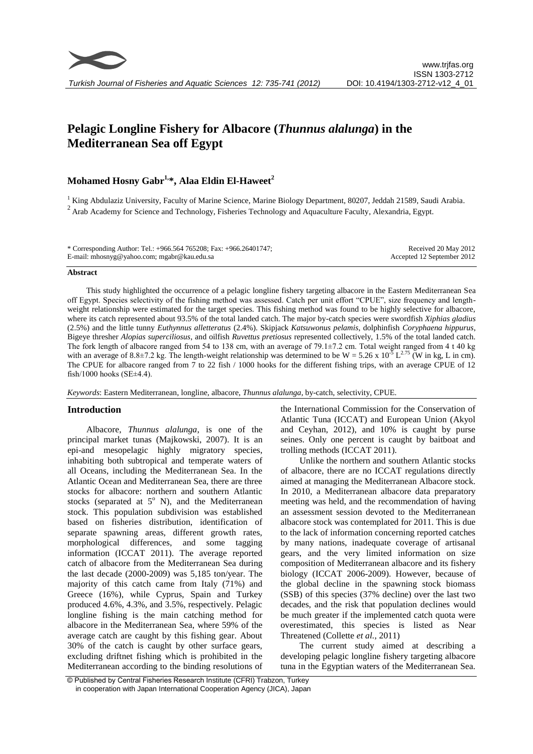# **Pelagic Longline Fishery for Albacore (***Thunnus alalunga***) in the Mediterranean Sea off Egypt**

## **Mohamed Hosny Gabr1,\*, Alaa Eldin El-Haweet<sup>2</sup>**

<sup>1</sup> King Abdulaziz University, Faculty of Marine Science, Marine Biology Department, 80207, Jeddah 21589, Saudi Arabia. <sup>2</sup> Arab Academy for Science and Technology, Fisheries Technology and Aquaculture Faculty, Alexandria, Egypt.

| * Corresponding Author: Tel.: +966.564 765208; Fax: +966.26401747; | Received 20 May 2012       |
|--------------------------------------------------------------------|----------------------------|
| E-mail: mhosnyg@yahoo.com; mgabr@kau.edu.sa                        | Accepted 12 September 2012 |

#### **Abstract**

This study highlighted the occurrence of a pelagic longline fishery targeting albacore in the Eastern Mediterranean Sea off Egypt. Species selectivity of the fishing method was assessed. Catch per unit effort "CPUE", size frequency and lengthweight relationship were estimated for the target species. This fishing method was found to be highly selective for albacore, where its catch represented about 93.5% of the total landed catch. The major by-catch species were swordfish *Xiphias gladius* (2.5%) and the little tunny *Euthynnus alletteratus* (2.4%). Skipjack *Katsuwonus pelamis*, dolphinfish *Coryphaena hippurus*, Bigeye thresher *Alopias superciliosus*, and oilfish *Ruvettus pretiosus* represented collectively, 1.5% of the total landed catch. The fork length of albacore ranged from 54 to 138 cm, with an average of 79.1±7.2 cm. Total weight ranged from 4 t 40 kg with an average of 8.8 $\pm$ 7.2 kg. The length-weight relationship was determined to be W = 5.26 x 10<sup>-5</sup> L<sup>2.75</sup> (W in kg, L in cm). The CPUE for albacore ranged from 7 to 22 fish / 1000 hooks for the different fishing trips, with an average CPUE of 12 fish/1000 hooks ( $SE\pm4.4$ ).

*Keywords*: Eastern Mediterranean, longline, albacore, *Thunnus alalunga*, by-catch, selectivity, CPUE.

## **Introduction**

Albacore, *Thunnus alalunga*, is one of the principal market tunas (Majkowski, 2007). It is an epi-and mesopelagic highly migratory species, inhabiting both subtropical and temperate waters of all Oceans, including the Mediterranean Sea. In the Atlantic Ocean and Mediterranean Sea, there are three stocks for albacore: northern and southern Atlantic stocks (separated at  $5^{\circ}$  N), and the Mediterranean stock. This population subdivision was established based on fisheries distribution, identification of separate spawning areas, different growth rates, morphological differences, and some tagging information (ICCAT 2011). The average reported catch of albacore from the Mediterranean Sea during the last decade (2000-2009) was 5,185 ton/year. The majority of this catch came from Italy (71%) and Greece (16%), while Cyprus, Spain and Turkey produced 4.6%, 4.3%, and 3.5%, respectively. Pelagic longline fishing is the main catching method for albacore in the Mediterranean Sea, where 59% of the average catch are caught by this fishing gear. About 30% of the catch is caught by other surface gears, excluding driftnet fishing which is prohibited in the Mediterranean according to the binding resolutions of the International Commission for the Conservation of Atlantic Tuna (ICCAT) and European Union (Akyol and Ceyhan, 2012), and 10% is caught by purse seines. Only one percent is caught by baitboat and trolling methods (ICCAT 2011).

Unlike the northern and southern Atlantic stocks of albacore, there are no ICCAT regulations directly aimed at managing the Mediterranean Albacore stock. In 2010, a Mediterranean albacore data preparatory meeting was held, and the recommendation of having an assessment session devoted to the Mediterranean albacore stock was contemplated for 2011. This is due to the lack of information concerning reported catches by many nations, inadequate coverage of artisanal gears, and the very limited information on size composition of Mediterranean albacore and its fishery biology (ICCAT 2006-2009). However, because of the global decline in the spawning stock biomass (SSB) of this species (37% decline) over the last two decades, and the risk that population declines would be much greater if the implemented catch quota were overestimated, this species is listed as Near Threatened (Collette *et al.*, 2011)

The current study aimed at describing a developing pelagic longline fishery targeting albacore tuna in the Egyptian waters of the Mediterranean Sea.

<sup>©</sup> Published by Central Fisheries Research Institute (CFRI) Trabzon, Turkey in cooperation with Japan International Cooperation Agency (JICA), Japan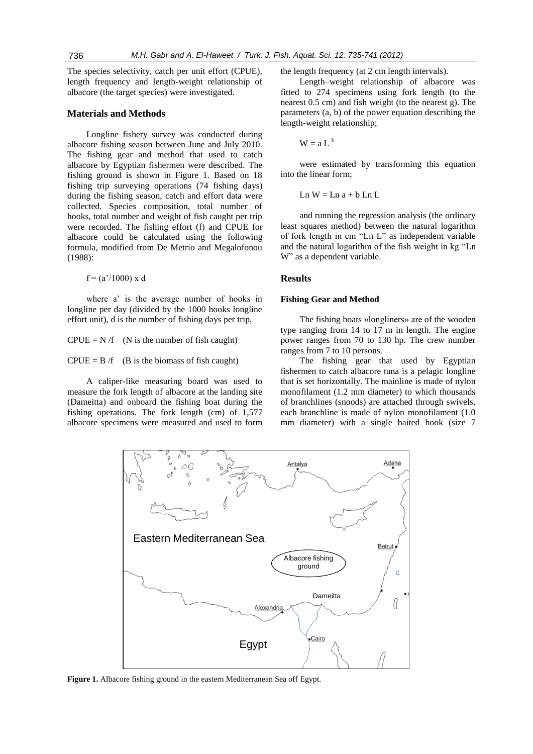The species selectivity, catch per unit effort (CPUE), length frequency and length-weight relationship of albacore (the target species) were investigated.

## **Materials and Methods**

Longline fishery survey was conducted during albacore fishing season between June and July 2010. The fishing gear and method that used to catch albacore by Egyptian fishermen were described. The fishing ground is shown in Figure 1. Based on 18 fishing trip surveying operations (74 fishing days) during the fishing season, catch and effort data were collected. Species composition, total number of hooks, total number and weight of fish caught per trip were recorded. The fishing effort (f) and CPUE for albacore could be calculated using the following formula, modified from De Metrio and Megalofonou (1988):

 $f = (a'/1000) x d$ 

where a' is the average number of hooks in longline per day (divided by the 1000 hooks longline effort unit), d is the number of fishing days per trip,

 $CPUE = N /f$  (N is the number of fish caught)

 $CPUE = B /f$  (B is the biomass of fish caught)

A caliper-like measuring board was used to measure the fork length of albacore at the landing site (Dameitta) and onboard the fishing boat during the fishing operations. The fork length (cm) of 1,577 albacore specimens were measured and used to form the length frequency (at 2 cm length intervals).

Length–weight relationship of albacore was fitted to 274 specimens using fork length (to the nearest 0.5 cm) and fish weight (to the nearest g). The parameters (a, b) of the power equation describing the length-weight relationship;

 $W = a L<sup>b</sup>$ 

were estimated by transforming this equation into the linear form;

Ln  $W =$ Ln  $a + b$  Ln L

and running the regression analysis (the ordinary least squares method) between the natural logarithm of fork length in cm "Ln L" as independent variable and the natural logarithm of the fish weight in kg "Ln W" as a dependent variable.

## **Results**

#### **Fishing Gear and Method**

The fishing boats «longliners» are of the wooden type ranging from 14 to 17 m in length. The engine power ranges from 70 to 130 hp. The crew number ranges from 7 to 10 persons.

The fishing gear that used by Egyptian fishermen to catch albacore tuna is a pelagic longline that is set horizontally. The mainline is made of nylon monofilament (1.2 mm diameter) to which thousands of branchlines (snoods) are attached through swivels, each branchline is made of nylon monofilament (1.0 mm diameter) with a single baited hook (size 7



**Figure 1.** Albacore fishing ground in the eastern Mediterranean Sea off Egypt.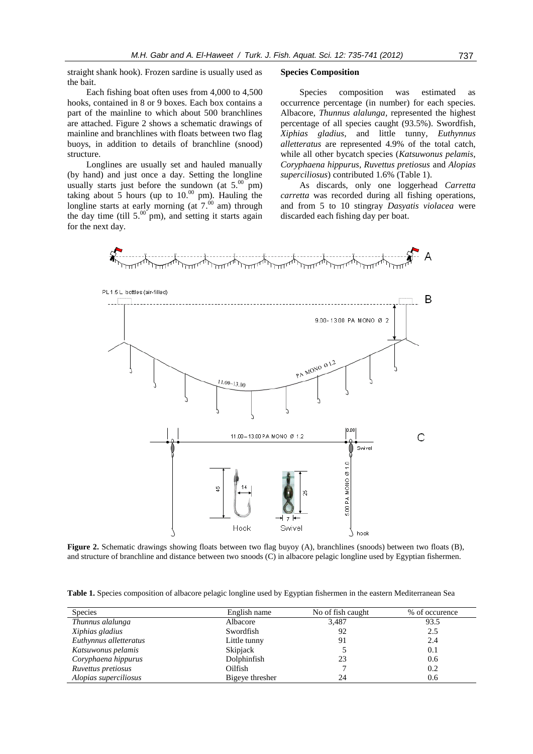straight shank hook). Frozen sardine is usually used as the bait.

Each fishing boat often uses from 4,000 to 4,500 hooks, contained in 8 or 9 boxes. Each box contains a part of the mainline to which about 500 branchlines are attached. Figure 2 shows a schematic drawings of mainline and branchlines with floats between two flag buoys, in addition to details of branchline (snood) structure.

Longlines are usually set and hauled manually (by hand) and just once a day. Setting the longline usually starts just before the sundown (at  $5.^{00}$  pm) taking about 5 hours (up to  $10^{00}$  pm). Hauling the longline starts at early morning (at  $7.^{00}$  am) through the day time (till  $5.^{00}$  pm), and setting it starts again for the next day.

#### **Species Composition**

Species composition was estimated as occurrence percentage (in number) for each species. Albacore, *Thunnus alalunga,* represented the highest percentage of all species caught (93.5%). Swordfish, *Xiphias gladius*, and little tunny, *Euthynnus alletteratus* are represented 4.9% of the total catch, while all other bycatch species (*Katsuwonus pelamis*, *Coryphaena hippurus, Ruvettus pretiosus* and *Alopias superciliosus*) contributed 1.6% (Table 1).

As discards, only one loggerhead *Carretta carretta* was recorded during all fishing operations, and from 5 to 10 stingray *Dasyatis violacea* were discarded each fishing day per boat.



**Figure 2.** Schematic drawings showing floats between two flag buyoy (A), branchlines (snoods) between two floats (B), and structure of branchline and distance between two snoods (C) in albacore pelagic longline used by Egyptian fishermen.

|  |  |  |  |  | Table 1. Species composition of albacore pelagic longline used by Egyptian fishermen in the eastern Mediterranean Sea |  |
|--|--|--|--|--|-----------------------------------------------------------------------------------------------------------------------|--|
|  |  |  |  |  |                                                                                                                       |  |

| <b>Species</b>         | English name    | No of fish caught | % of occurence |
|------------------------|-----------------|-------------------|----------------|
| Thunnus alalunga       | Albacore        | 3,487             | 93.5           |
| Xiphias gladius        | Swordfish       | 92                | 2.5            |
| Euthynnus alletteratus | Little tunny    | 91                | 2.4            |
| Katsuwonus pelamis     | <b>Skipjack</b> |                   | 0.1            |
| Coryphaena hippurus    | Dolphinfish     | 23                | 0.6            |
| Ruvettus pretiosus     | Oilfish         |                   | 0.2            |
| Alopias superciliosus  | Bigeye thresher | 24                | 0.6            |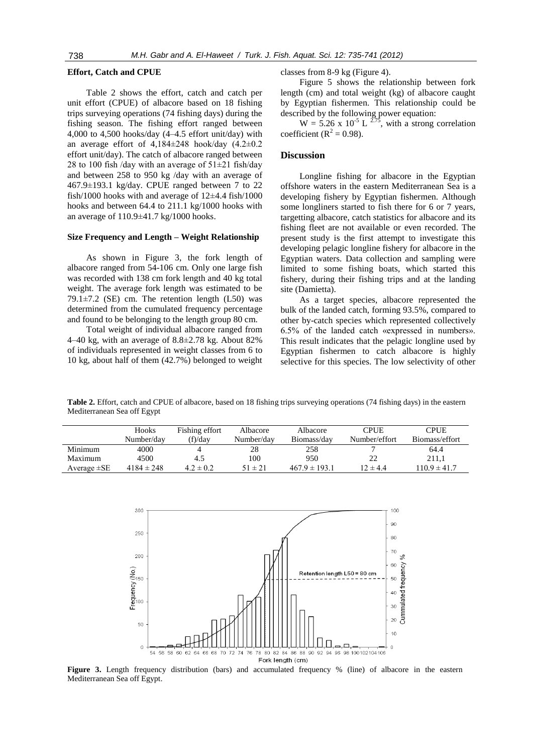#### **Effort, Catch and CPUE**

Table 2 shows the effort, catch and catch per unit effort (CPUE) of albacore based on 18 fishing trips surveying operations (74 fishing days) during the fishing season. The fishing effort ranged between 4,000 to 4,500 hooks/day (4–4.5 effort unit/day) with an average effort of  $4,184\pm248$  hook/day  $(4.2\pm0.2)$ effort unit/day). The catch of albacore ranged between 28 to 100 fish /day with an average of  $51\pm21$  fish/day and between 258 to 950 kg /day with an average of 467.9±193.1 kg/day. CPUE ranged between 7 to 22 fish/1000 hooks with and average of  $12\pm4.4$  fish/1000 hooks and between 64.4 to 211.1 kg/1000 hooks with an average of 110.9±41.7 kg/1000 hooks.

### **Size Frequency and Length – Weight Relationship**

As shown in Figure 3, the fork length of albacore ranged from 54-106 cm. Only one large fish was recorded with 138 cm fork length and 40 kg total weight. The average fork length was estimated to be 79.1 $\pm$ 7.2 (SE) cm. The retention length (L50) was determined from the cumulated frequency percentage and found to be belonging to the length group 80 cm.

Total weight of individual albacore ranged from 4–40 kg, with an average of 8.8±2.78 kg. About 82% of individuals represented in weight classes from 6 to 10 kg, about half of them (42.7%) belonged to weight classes from 8-9 kg (Figure 4).

Figure 5 shows the relationship between fork length (cm) and total weight (kg) of albacore caught by Egyptian fishermen. This relationship could be described by the following power equation:

 $W = 5.26 \times 10^{-5}$  L  $^{2.75}$ , with a strong correlation coefficient ( $R^2 = 0.98$ ).

#### **Discussion**

Longline fishing for albacore in the Egyptian offshore waters in the eastern Mediterranean Sea is a developing fishery by Egyptian fishermen. Although some longliners started to fish there for 6 or 7 years, targetting albacore, catch statistics for albacore and its fishing fleet are not available or even recorded. The present study is the first attempt to investigate this developing pelagic longline fishery for albacore in the Egyptian waters. Data collection and sampling were limited to some fishing boats, which started this fishery, during their fishing trips and at the landing site (Damietta).

As a target species, albacore represented the bulk of the landed catch, forming 93.5%, compared to other by-catch species which represented collectively 6.5% of the landed catch «expressed in numbers». This result indicates that the pelagic longline used by Egyptian fishermen to catch albacore is highly selective for this species. The low selectivity of other

**Table 2.** Effort, catch and CPUE of albacore, based on 18 fishing trips surveying operations (74 fishing days) in the eastern Mediterranean Sea off Egypt

|                  | Hooks<br>Number/day | Fishing effort<br>(f)/dav | Albacore<br>Number/day | Albacore<br>Biomass/day | <b>CPUE</b><br>Number/effort | <b>CPUE</b><br>Biomass/effort |
|------------------|---------------------|---------------------------|------------------------|-------------------------|------------------------------|-------------------------------|
|                  |                     |                           |                        |                         |                              |                               |
| Minimum          | 4000                |                           | 28                     | 258                     |                              | 64.4                          |
| Maximum          | 4500                | 4.5                       | 100                    | 950                     | 22                           | 211.1                         |
| Average $\pm$ SE | $4184 \pm 248$      | $4.2 \pm 0.2$             | $51 \pm 21$            | $467.9 \pm 193.1$       | $12 \pm 4.4$                 | $110.9 \pm 41.7$              |



**Figure 3.** Length frequency distribution (bars) and accumulated frequency % (line) of albacore in the eastern Mediterranean Sea off Egypt.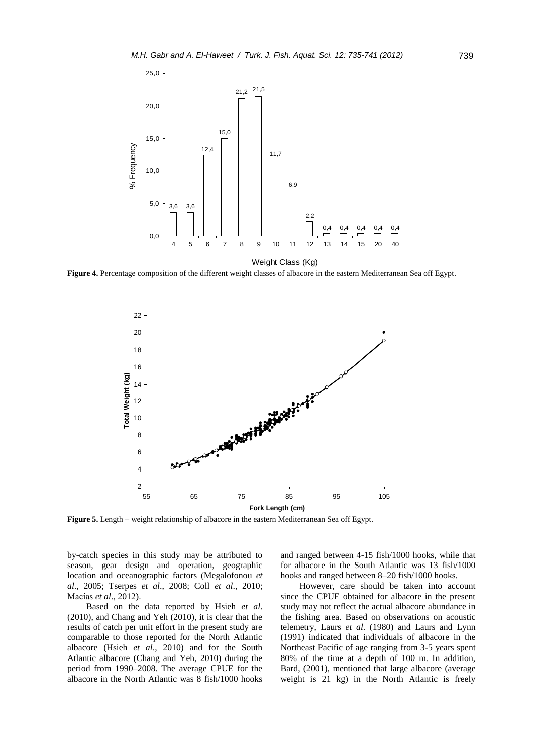

**Figure 4.** Percentage composition of the different weight classes of albacore in the eastern Mediterranean Sea off Egypt.



**Figure 5.** Length – weight relationship of albacore in the eastern Mediterranean Sea off Egypt.

by-catch species in this study may be attributed to season, gear design and operation, geographic location and oceanographic factors (Megalofonou *et al*., 2005; Tserpes *et al*., 2008; Coll *et al*., 2010; Macías *et al*., 2012).

Based on the data reported by Hsieh *et al*. (2010), and Chang and Yeh (2010), it is clear that the results of catch per unit effort in the present study are comparable to those reported for the North Atlantic albacore (Hsieh *et al*., 2010) and for the South Atlantic albacore (Chang and Yeh, 2010) during the period from 1990–2008. The average CPUE for the albacore in the North Atlantic was 8 fish/1000 hooks

and ranged between 4-15 fish/1000 hooks, while that for albacore in the South Atlantic was 13 fish/1000 hooks and ranged between 8–20 fish/1000 hooks.

However, care should be taken into account since the CPUE obtained for albacore in the present study may not reflect the actual albacore abundance in the fishing area. Based on observations on acoustic telemetry, Laurs *et al*. (1980) and Laurs and Lynn (1991) indicated that individuals of albacore in the Northeast Pacific of age ranging from 3-5 years spent 80% of the time at a depth of 100 m. In addition, Bard, (2001), mentioned that large albacore (average weight is 21 kg) in the North Atlantic is freely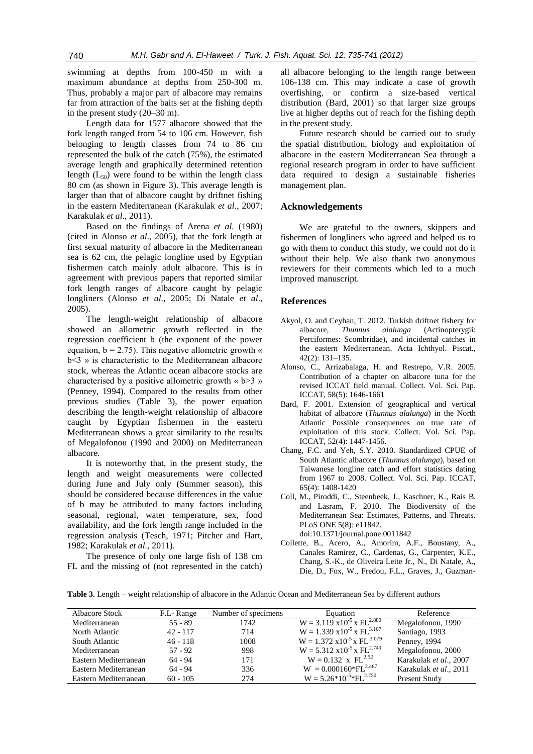swimming at depths from 100-450 m with a maximum abundance at depths from 250-300 m. Thus, probably a major part of albacore may remains far from attraction of the baits set at the fishing depth in the present study (20–30 m).

Length data for 1577 albacore showed that the fork length ranged from 54 to 106 cm. However, fish belonging to length classes from 74 to 86 cm represented the bulk of the catch (75%), the estimated average length and graphically determined retention length  $(L_{50})$  were found to be within the length class 80 cm (as shown in Figure 3). This average length is larger than that of albacore caught by driftnet fishing in the eastern Mediterranean (Karakulak *et al*., 2007; Karakulak *et al*., 2011).

Based on the findings of Arena *et al*. (1980) (cited in Alonso *et al*., 2005), that the fork length at first sexual maturity of albacore in the Mediterranean sea is 62 cm, the pelagic longline used by Egyptian fishermen catch mainly adult albacore. This is in agreement with previous papers that reported similar fork length ranges of albacore caught by pelagic longliners (Alonso *et al*., 2005; Di Natale *et al*., 2005).

The length-weight relationship of albacore showed an allometric growth reflected in the regression coefficient b (the exponent of the power equation,  $b = 2.75$ ). This negative allometric growth « b<3 » is characteristic to the Mediterranean albacore stock, whereas the Atlantic ocean albacore stocks are characterised by a positive allometric growth  $\ll$  b>3 » (Penney, 1994). Compared to the results from other previous studies (Table 3), the power equation describing the length-weight relationship of albacore caught by Egyptian fishermen in the eastern Mediterranean shows a great similarity to the results of Megalofonou (1990 and 2000) on Mediterranean albacore.

It is noteworthy that, in the present study, the length and weight measurements were collected during June and July only (Summer season), this should be considered because differences in the value of b may be attributed to many factors including seasonal, regional, water temperature, sex, food availability, and the fork length range included in the regression analysis (Tesch, 1971; Pitcher and Hart, 1982; Karakulak *et al.*, 2011).

The presence of only one large fish of 138 cm FL and the missing of (not represented in the catch) all albacore belonging to the length range between 106-138 cm. This may indicate a case of growth overfishing, or confirm a size-based vertical distribution (Bard, 2001) so that larger size groups live at higher depths out of reach for the fishing depth in the present study.

Future research should be carried out to study the spatial distribution, biology and exploitation of albacore in the eastern Mediterranean Sea through a regional research program in order to have sufficient data required to design a sustainable fisheries management plan.

## **Acknowledgements**

We are grateful to the owners, skippers and fishermen of longliners who agreed and helped us to go with them to conduct this study, we could not do it without their help. We also thank two anonymous reviewers for their comments which led to a much improved manuscript.

## **References**

- Akyol, O. and Ceyhan, T. 2012. Turkish driftnet fishery for albacore, *Thunnus alalunga* (Actinopterygii: Perciformes: Scombridae), and incidental catches in the eastern Mediterranean. Acta Ichthyol. Piscat., 42(2): 131–135.
- Alonso, C., Arrizabalaga, H. and Restrepo, V.R. 2005. Contribution of a chapter on albacore tuna for the revised ICCAT field manual. Collect. Vol. Sci. Pap. ICCAT, 58(5): 1646-1661
- Bard, F. 2001. Extension of geographical and vertical habitat of albacore (*Thunnus alalunga*) in the North Atlantic Possible consequences on true rate of exploitation of this stock. Collect. Vol. Sci. Pap. ICCAT, 52(4): 1447-1456.
- Chang, F.C. and Yeh, S.Y. 2010. Standardized CPUE of South Atlantic albacore (*Thunnus alalunga*), based on Taiwanese longline catch and effort statistics dating from 1967 to 2008. Collect. Vol. Sci. Pap. ICCAT, 65(4): 1408-1420
- Coll, M., Piroddi, C., Steenbeek, J., Kaschner, K., Rais B. and Lasram, F. 2010. The Biodiversity of the Mediterranean Sea: Estimates, Patterns, and Threats. PLoS ONE 5(8): e11842. doi:10.1371/journal.pone.0011842
- Collette, B., Acero, A., Amorim, A.F., Boustany, A., Canales Ramirez, C., Cardenas, G., Carpenter, K.E., Chang, S.-K., de Oliveira Leite Jr., N., Di Natale, A., Die, D., Fox, W., Fredou, F.L., Graves, J., Guzman-

**Table 3.** Length – weight relationship of albacore in the Atlantic Ocean and Mediterranean Sea by different authors

| <b>Albacore Stock</b> | F.L - Range | Number of specimens | Equation                                     | Reference              |
|-----------------------|-------------|---------------------|----------------------------------------------|------------------------|
| Mediterranean         | $55 - 89$   | 1742                | $W = 3.119 \times 10^{-5} \times FL^{2.880}$ | Megalofonou, 1990      |
| North Atlantic        | $42 - 117$  | 714                 | $W = 1.339 \times 10^{-5} \times FL^{3.107}$ | Santiago, 1993         |
| South Atlantic        | $46 - 118$  | 1008                | $W = 1.372 \times 10^{-5} \times FL^{3.079}$ | Penney, 1994           |
| Mediterranean         | $57 - 92$   | 998                 | $W = 5.312 \times 10^{-5} \times FL^{2.740}$ | Megalofonou, 2000      |
| Eastern Mediterranean | $64 - 94$   | 171                 | $W = 0.132 \times FL^{2.52}$                 | Karakulak et al., 2007 |
| Eastern Mediterranean | $64 - 94$   | 336                 | $W = 0.000160*FL^{2.467}$                    | Karakulak et al., 2011 |
| Eastern Mediterranean | $60 - 105$  | 274                 | $W = 5.26*10^{-5}*FL^{2.750}$                | Present Study          |